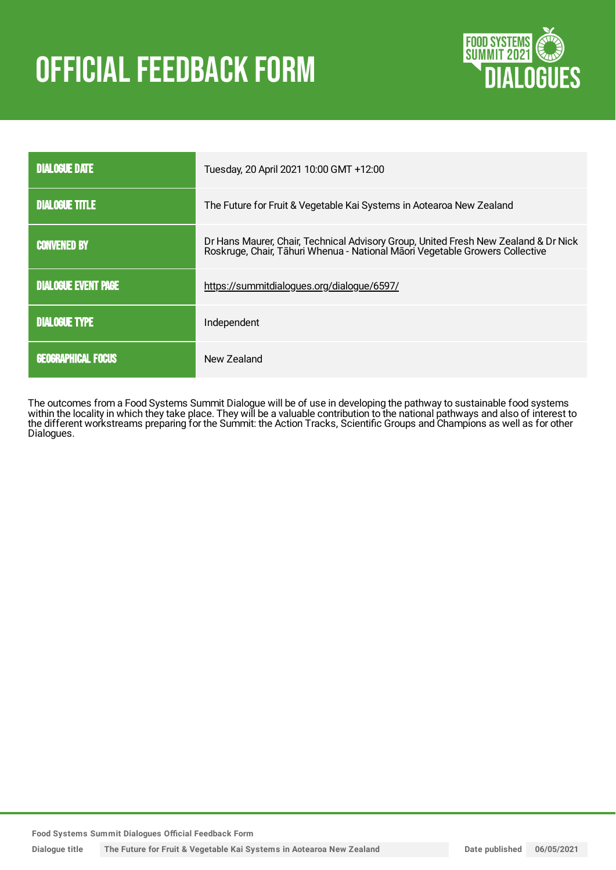# OFFICIAL FEEDBACK FORM



| <b>DIALOGUE DATE</b>       | Tuesday, 20 April 2021 10:00 GMT +12:00                                                                                                                          |
|----------------------------|------------------------------------------------------------------------------------------------------------------------------------------------------------------|
| <b>DIALOGUE TITLE</b>      | The Future for Fruit & Vegetable Kai Systems in Aotearoa New Zealand                                                                                             |
| <b>CONVENED BY</b>         | Dr Hans Maurer, Chair, Technical Advisory Group, United Fresh New Zealand & Dr Nick Roskruge, Chair, Tāhuri Whenua - National Māori Vegetable Growers Collective |
| <b>DIALOGUE EVENT PAGE</b> | https://summitdialogues.org/dialogue/6597/                                                                                                                       |
| <b>DIALOGUE TYPE</b>       | Independent                                                                                                                                                      |
| <b>GEOGRAPHICAL FOCUS</b>  | New Zealand                                                                                                                                                      |

The outcomes from a Food Systems Summit Dialogue will be of use in developing the pathway to sustainable food systems within the locality in which they take place. They will be a valuable contribution to the national pathways and also of interest to the different workstreams preparing for the Summit: the Action Tracks, Scientific Groups and Champions as well as for other Dialogues.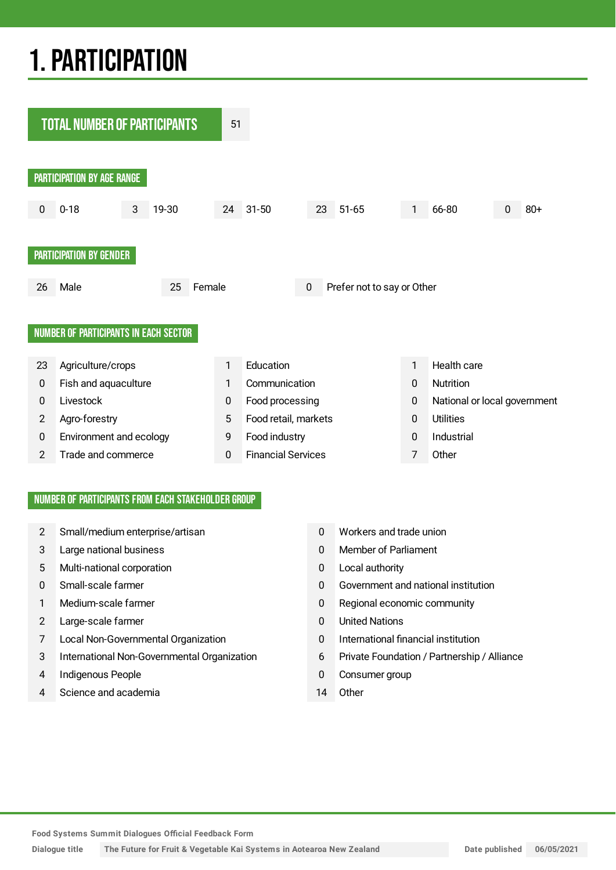## 1.PARTICIPATION



#### NUMBER OF PARTICIPANTS FROM EACH STAKEHOLDER GROUP

- 2 Small/medium enterprise/artisan 0 Workers and trade union
- 3 Large national business 0 Member of Parliament
- 5 Multi-national corporation 0 Local authority
- 
- 
- 2 Large-scale farmer 12 Decree 1 2 Decree 1 2 Decree 1 2 Decree 1 2 Decree 1 2 Decree 1 2 Decree 1 2 Decree 1 2 Decree 1 2 Decree 1 2 Decree 1 2 Decree 1 2 Decree 1 2 Decree 1 2 Decree 1 2 Decree 1 2 Decree 1 2 Decree 1 2
- 7 Local Non-Governmental Organization 0 International financial institution
- 3 International Non-Governmental Organization 6 Private Foundation / Partnership / Alliance
- 4 Indigenous People **12 Consumer group** 1 Consumer group
- 4 Science and academia 14 Other
- 
- 
- 
- 0 Small-scale farmer 0 Government and national institution
- 1 Medium-scale farmer 1 Medium-scale farmer 1 Regional economic community
	-
	-
	-
	-
	-

**Food Systems Summit Dialogues Official Feedback Form**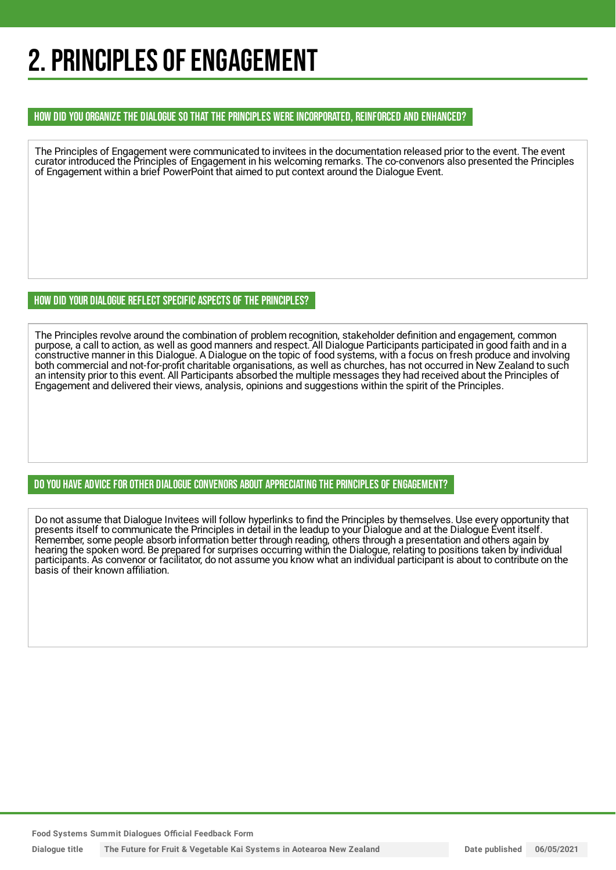## 2. PRINCIPLES OF ENGAGEMENT

#### HOW DID YOU ORGANIZE THE DIALOGUE SO THAT THE PRINCIPLES WERE INCORPORATED, REINFORCED AND ENHANCED?

The Principles of Engagement were communicated to invitees in the documentation released prior to the event. The event curator introduced the Principles of Engagement in his welcoming remarks. The co-convenors also presented the Principles of Engagement within a brief PowerPoint that aimed to put context around the Dialogue Event.

#### HOW DID YOUR DIALOGUE REFLECT SPECIFIC ASPECTS OF THE PRINCIPLES?

The Principles revolve around the combination of problem recognition, stakeholder definition and engagement, common purpose, a call to action, as well as good manners and respect. All Dialogue Participants participated in good faith and in a constructive manner in this Dialogue. A Dialogue on the topic of food systems, with a focus on fresh produce and involving both commercial and not-for-profit charitable organisations, as well as churches, has not occurred in New Zealand to such an intensity prior to this event. All Participants absorbed the multiple messages they had received about the Principles of Engagement and delivered their views, analysis, opinions and suggestions within the spirit of the Principles.

#### DO YOU HAVE ADVICE FOR OTHER DIALOGUE CONVENORS ABOUT APPRECIATINGTHE PRINCIPLES OF ENGAGEMENT?

Do not assume that Dialogue Invitees will follow hyperlinks to find the Principles by themselves. Use every opportunity that presents itself to communicate the Principles in detail in the leadup to your Dialogue and at the Dialogue Event itself. Remember, some people absorb information better through reading, others through a presentation and others again by hearing the spoken word. Be prepared for surprises occurring within the Dialogue, relating to positions taken by individual participants. As convenor or facilitator, do not assume you know what an individual participant is about to contribute on the basis of their known affiliation.

**Food Systems Summit Dialogues Official Feedback Form**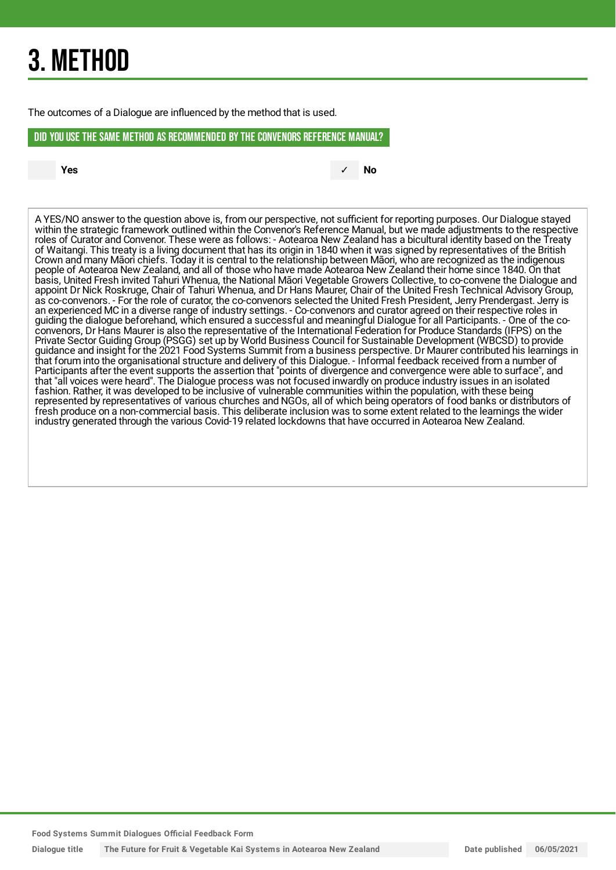## 3. METHOD

The outcomes of a Dialogue are influenced by the method that is used.

#### DID YOU USE THE SAME METHOD AS RECOMMENDED BYTHE CONVENORS REFERENCE MANUAL?

**Yes** ✓ **No**

A YES/NO answer to the question above is, from our perspective, not sufficient for reporting purposes. Our Dialogue stayed within the strategic framework outlined within the Convenor's Reference Manual, but we made adjustments to the respective roles of Curator and Convenor. These were as follows: - Aotearoa New Zealand has a bicultural identity based on the Treaty of Waitangi. This treaty is a living document that has its origin in 1840 when it was signed by representatives of the British Crown and many Māori chiefs. Today it is central to the relationship between Māori, who are recognized as the indigenous people of Aotearoa New Zealand, and all of those who have made Aotearoa New Zealand their home since 1840. On that basis, United Fresh invited Tahuri Whenua, the National Māori Vegetable Growers Collective, to co-convene the Dialogue and appoint Dr Nick Roskruge, Chair of Tahuri Whenua, and Dr Hans Maurer, Chair of the United Fresh Technical Advisory Group, as co-convenors. - For the role of curator, the co-convenors selected the United Fresh President, Jerry Prendergast. Jerry is an experienced MC in a diverse range of industry settings. - Co-convenors and curator agreed on their respective roles in guiding the dialogue beforehand, which ensured a successful and meaningful Dialogue for all Participants. - One of the coconvenors, Dr Hans Maurer is also the representative of the International Federation for Produce Standards (IFPS) on the Private Sector Guiding Group (PSGG) set up by World Business Council for Sustainable Development (WBCSD) to provide guidance and insight for the 2021 Food Systems Summit from a business perspective. Dr Maurer contributed his learnings in that forum into the organisational structure and delivery of this Dialogue. - Informal feedback received from a number of Participants after the event supports the assertion that "points of divergence and convergence were able to surface", and that "all voices were heard". The Dialogue process was not focused inwardly on produce industry issues in an isolated fashion. Rather, it was developed to be inclusive of vulnerable communities within the population, with these being represented by representatives of various churches and NGOs, all of which being operators of food banks or distributors of fresh produce on a non-commercial basis. This deliberate inclusion was to some extent related to the learnings the wider industry generated through the various Covid-19 related lockdowns that have occurred in Aotearoa New Zealand.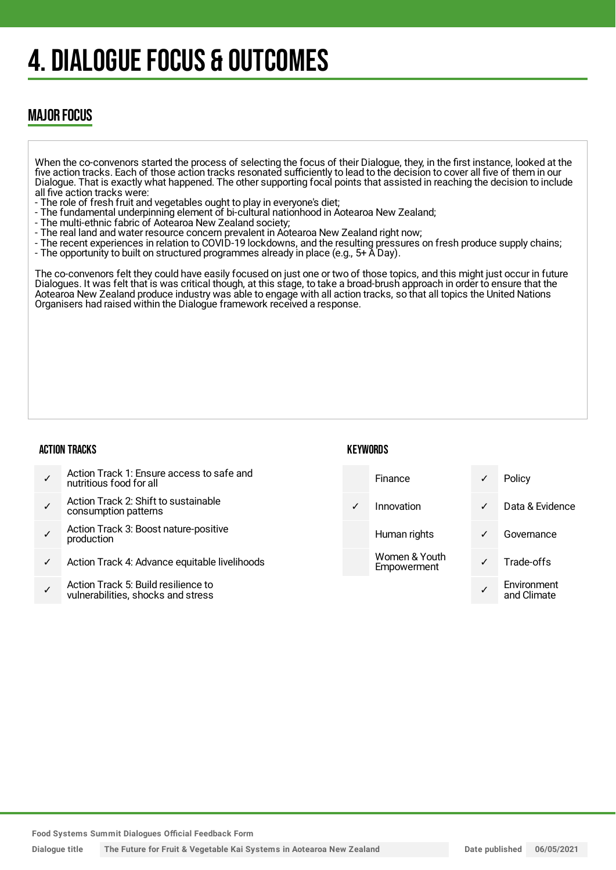## 4. DIALOGUE FOCUS & OUTCOMES

### MAJOR FOCUS

When the co-convenors started the process of selecting the focus of their Dialogue, they, in the first instance, looked at the five action tracks. Each of those action tracks resonated sufficiently to lead to the decision to cover all five of them in our Dialogue. That is exactly what happened. The other supporting focal points that assisted in reaching the decision to include all five action tracks were:

- The role of fresh fruit and vegetables ought to play in everyone's diet;
- The fundamental underpinning element of bi-cultural nationhood in Aotearoa New Zealand;
- The multi-ethnic fabric of Aotearoa New Zealand society;
- The real land and water resource concern prevalent in Aotearoa New Zealand right now;
- The recent experiences in relation to COVID-19 lockdowns, and the resulting pressures on fresh produce supply chains;
- The opportunity to built on structured programmes already in place (e.g., 5+ A Day).

The co-convenors felt they could have easily focused on just one or two of those topics, and this might just occur in future Dialogues. It was felt that is was critical though, at this stage, to take a broad-brush approach in order to ensure that the Aotearoa New Zealand produce industry was able to engage with all action tracks, so that all topics the United Nations Organisers had raised within the Dialogue framework received a response.

#### ACTION TRACKS

#### **KEYWORDS**

| Action Track 1: Ensure access to safe and<br>nutritious food for all      | Finance                      | ✓            | Policy                     |
|---------------------------------------------------------------------------|------------------------------|--------------|----------------------------|
| Action Track 2: Shift to sustainable<br>consumption patterns              | Innovation                   | $\sqrt{2}$   | Data & Evidence            |
| Action Track 3: Boost nature-positive<br>production                       | Human rights                 | $\checkmark$ | Governance                 |
| Action Track 4: Advance equitable livelihoods                             | Women & Youth<br>Empowerment |              | Trade-offs                 |
| Action Track 5: Build resilience to<br>vulnerabilities, shocks and stress |                              |              | Environment<br>and Climate |

**Food Systems Summit Dialogues Official Feedback Form**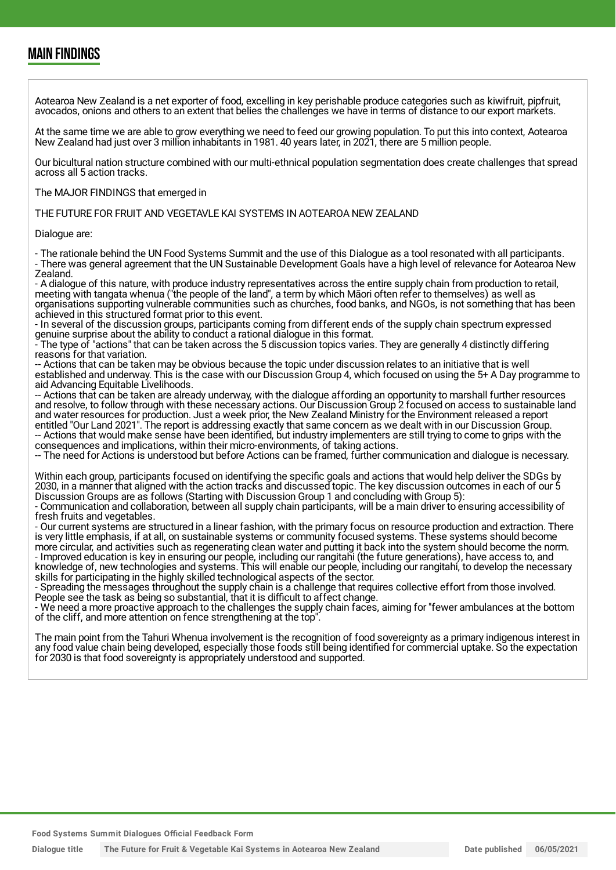### MAIN FINDINGS

Aotearoa New Zealand is a net exporter of food, excelling in key perishable produce categories such as kiwifruit, pipfruit, avocados, onions and others to an extent that belies the challenges we have in terms of distance to our export markets.

At the same time we are able to grow everything we need to feed our growing population. To put this into context, Aotearoa New Zealand had just over 3 million inhabitants in 1981. 40 years later, in 2021, there are 5 million people.

Our bicultural nation structure combined with our multi-ethnical population segmentation does create challenges that spread across all 5 action tracks.

#### The MAJOR FINDINGS that emerged in

THE FUTURE FOR FRUIT AND VEGETAVLE KAI SYSTEMS IN AOTEAROA NEW ZEALAND

Dialogue are:

- The rationale behind the UN Food Systems Summit and the use of this Dialogue as a tool resonated with all participants. - There was general agreement that the UN Sustainable Development Goals have a high level of relevance for Aotearoa New Zealand.

- A dialogue of this nature, with produce industry representatives across the entire supply chain from production to retail, meeting with tangata whenua ("the people of the land", a term by which Māori often refer to themselves) as well as organisations supporting vulnerable communities such as churches, food banks, and NGOs, is not something that has been achieved in this structured format prior to this event.

- In several of the discussion groups, participants coming from different ends of the supply chain spectrum expressed genuine surprise about the ability to conduct a rational dialogue in this format.

- The type of "actions" that can be taken across the 5 discussion topics varies. They are generally 4 distinctly differing reasons for that variation.

-- Actions that can be taken may be obvious because the topic under discussion relates to an initiative that is well established and underway. This is the case with our Discussion Group 4, which focused on using the 5+ A Day programme to aid Advancing Equitable Livelihoods.

-- Actions that can be taken are already underway, with the dialogue affording an opportunity to marshall further resources and resolve, to follow through with these necessary actions. Our Discussion Group 2 focused on access to sustainable land and water resources for production. Just a week prior, the New Zealand Ministry for the Environment released a report entitled "Our Land 2021". The report is addressing exactly that same concern as we dealt with in our Discussion Group. -- Actions that would make sense have been identified, but industry implementers are still trying to come to grips with the consequences and implications, within their micro-environments, of taking actions.

-- The need for Actions is understood but before Actions can be framed, further communication and dialogue is necessary.

Within each group, participants focused on identifying the specific goals and actions that would help deliver the SDGs by 2030, in a manner that aligned with the action tracks and discussed topic. The key discussion outcomes in each of our 5 Discussion Groups are as follows (Starting with Discussion Group 1 and concluding with Group 5):

- Communication and collaboration, between all supply chain participants, will be a main driver to ensuring accessibility of fresh fruits and vegetables.

- Our current systems are structured in a linear fashion, with the primary focus on resource production and extraction. There is very little emphasis, if at all, on sustainable systems or community focused systems. These systems should become more circular, and activities such as regenerating clean water and putting it back into the system should become the norm. - Improved education is key in ensuring our people, including our rangitahi (the future generations), have access to, and knowledge of, new technologies and systems. This will enable our people, including our rangitahi, to develop the necessary skills for participating in the highly skilled technological aspects of the sector.

- Spreading the messages throughout the supply chain is a challenge that requires collective effort from those involved. People see the task as being so substantial, that it is difficult to affect change.

- We need a more proactive approach to the challenges the supply chain faces, aiming for "fewer ambulances at the bottom of the cliff, and more attention on fence strengthening at the top".

The main point from the Tahuri Whenua involvement is the recognition of food sovereignty as a primary indigenous interest in any food value chain being developed, especially those foods still being identified for commercial uptake. So the expectation for 2030 is that food sovereignty is appropriately understood and supported.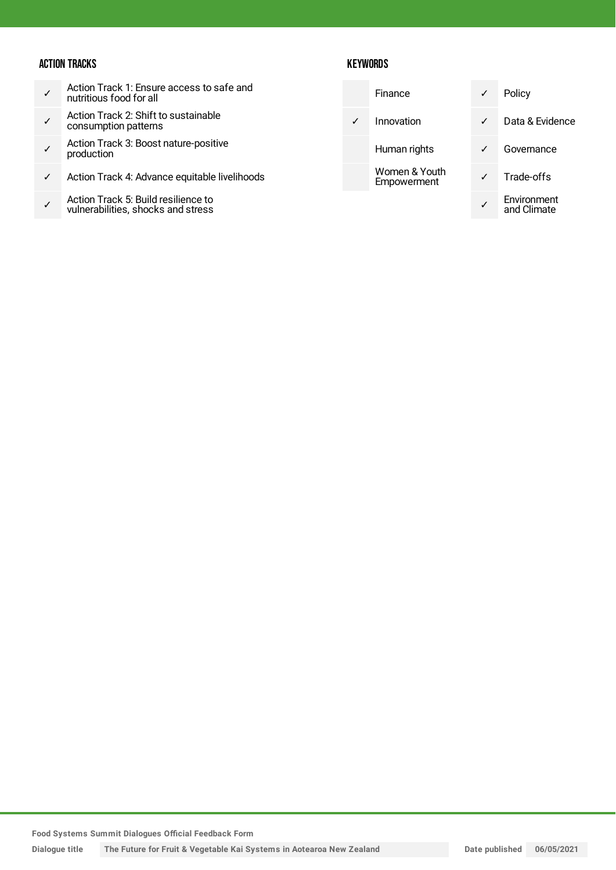#### ACTION TRACKS

- ✓ Action Track 1: Ensure access to safe and nutritious food for all
- ✓ Action Track 2: Shift to sustainable consumption patterns
- ✓ Action Track 3: Boost nature-positive production
- ✓ Action Track 4: Advance equitable livelihoods
- ✓ Action Track 5: Build resilience to vulnerabilities, shocks and stress

|              | Finance                      | $\checkmark$ | Policy                     |
|--------------|------------------------------|--------------|----------------------------|
| $\checkmark$ | Innovation                   | ✓            | Data & Evidence            |
|              | Human rights                 |              | Governance                 |
|              | Women & Youth<br>Empowerment |              | Trade-offs                 |
|              |                              |              | Environment<br>and Climate |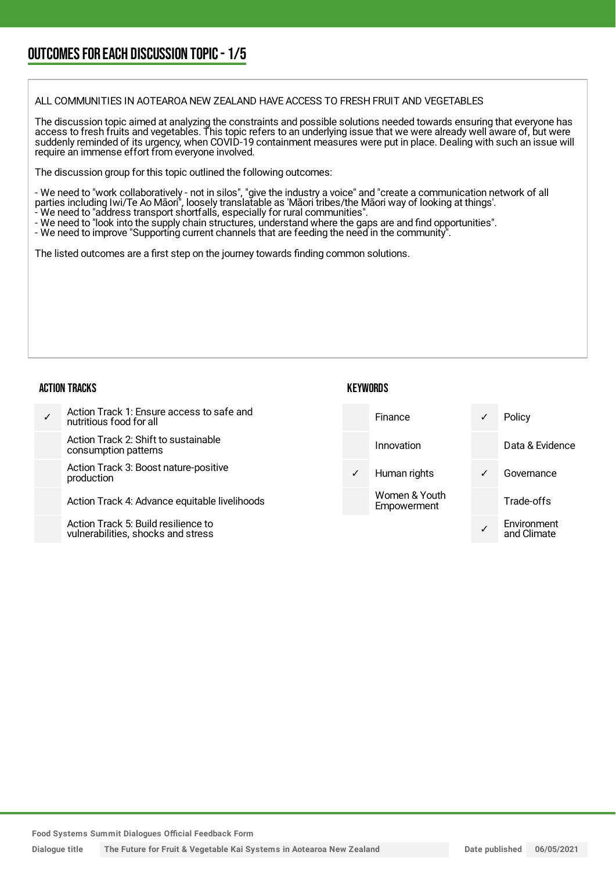### OUTCOMESFOR EACH DISCUSSION TOPIC- 1/5

#### ALL COMMUNITIES IN AOTEAROA NEW ZEALAND HAVE ACCESS TO FRESH FRUIT AND VEGETABLES

The discussion topic aimed at analyzing the constraints and possible solutions needed towards ensuring that everyone has access to fresh fruits and vegetables. This topic refers to an underlying issue that we were already well aware of, but were suddenly reminded of its urgency, when COVID-19 containment measures were put in place. Dealing with such an issue will require an immense effort from everyone involved.

The discussion group for this topic outlined the following outcomes:

- We need to "work collaboratively - not in silos", "give the industry a voice" and "create a communication network of all parties including Iwi/Te Ao Māori", loosely translatable as 'Māori tribes/the Māori way of looking at things'.

- We need to "address transport shortfalls, especially for rural communities".
- We need to "look into the supply chain structures, understand where the gaps are and find opportunities".
- We need to improve "Supporting current channels that are feeding the need in the community".

The listed outcomes are a first step on the journey towards finding common solutions.

#### ACTION TRACKS

#### **KEYWORDS**

| Action Track 1: Ensure access to safe and<br>nutritious food for all      | <b>Finance</b>               | $\checkmark$ | Policy                     |
|---------------------------------------------------------------------------|------------------------------|--------------|----------------------------|
| Action Track 2: Shift to sustainable<br>consumption patterns              | Innovation                   |              | Data & Evidence            |
| Action Track 3: Boost nature-positive<br>production                       | Human rights                 | $\checkmark$ | Governance                 |
| Action Track 4: Advance equitable livelihoods                             | Women & Youth<br>Empowerment |              | Trade-offs                 |
| Action Track 5: Build resilience to<br>vulnerabilities, shocks and stress |                              |              | Environment<br>and Climate |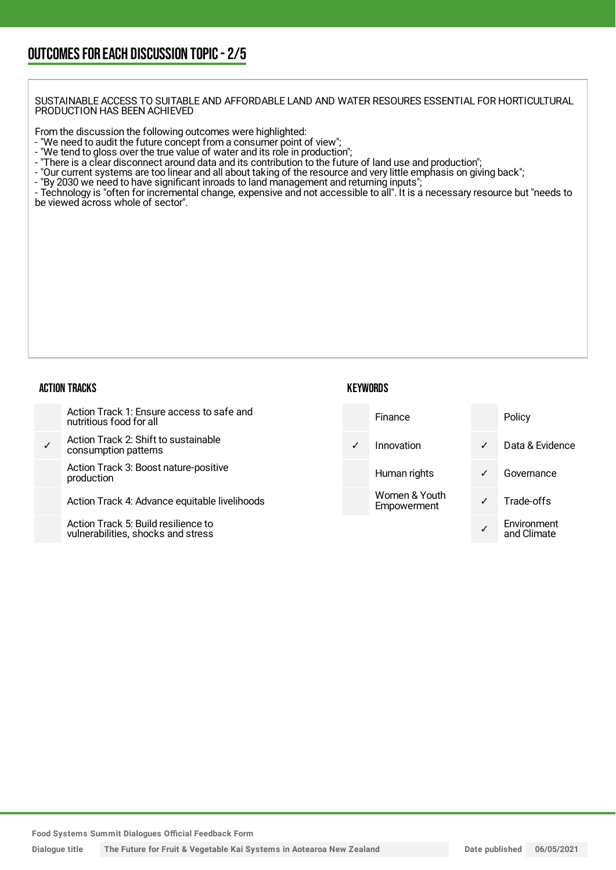SUSTAINABLE ACCESS TO SUITABLE AND AFFORDABLE LAND AND WATER RESOURES ESSENTIAL FOR HORTICULTURAL PRODUCTION HAS BEEN ACHIEVED

From the discussion the following outcomes were highlighted:

- "We need to audit the future concept from a consumer point of view";
- "We tend to gloss over the true value of water and its role in production";
- "There is a clear disconnect around data and its contribution to the future of land use and production";
- "Our current systems are too linear and all about taking of the resource and very little emphasis on giving back";
- "By 2030 we need to have significant inroads to land management and returning inputs";

- Technology is "often for incremental change, expensive and not accessible to all". It is a necessary resource but "needs to be viewed across whole of sector".

#### ACTION TRACKS

| Action Track 1: Ensure access to safe and<br>nutritious food for all      |              | Finance                      |              | Policy                     |
|---------------------------------------------------------------------------|--------------|------------------------------|--------------|----------------------------|
| Action Track 2: Shift to sustainable<br>consumption patterns              | $\checkmark$ | Innovation                   | $\checkmark$ | Data & Evidence            |
| Action Track 3: Boost nature-positive<br>production                       |              | Human rights                 | ✓            | Governance                 |
| Action Track 4: Advance equitable livelihoods                             |              | Women & Youth<br>Empowerment |              | Trade-offs                 |
| Action Track 5: Build resilience to<br>vulnerabilities, shocks and stress |              |                              |              | Environment<br>and Climate |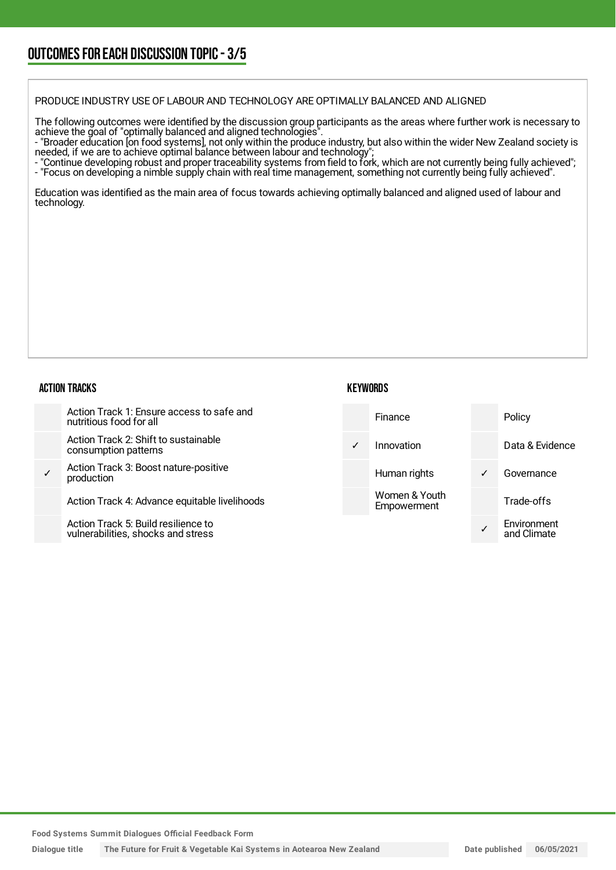### OUTCOMESFOR EACH DISCUSSION TOPIC- 3/5

PRODUCE INDUSTRY USE OF LABOUR AND TECHNOLOGY ARE OPTIMALLY BALANCED AND ALIGNED

The following outcomes were identified by the discussion group participants as the areas where further work is necessary to achieve the goal of "optimally balanced and aligned technologies".

- "Broader education [on food systems], not only within the produce industry, but also within the wider New Zealand society is needed, if we are to achieve optimal balance between labour and technology";

- "Continue developing robust and proper traceability systems from field to fork, which are not currently being fully achieved";

- "Focus on developing a nimble supply chain with real time management, something not currently being fully achieved".

Education was identified as the main area of focus towards achieving optimally balanced and aligned used of labour and technology.

#### ACTION TRACKS

|              | Action Track 1: Ensure access to safe and<br>nutritious food for all      |              | Finance                      |   | Policy                     |
|--------------|---------------------------------------------------------------------------|--------------|------------------------------|---|----------------------------|
|              | Action Track 2: Shift to sustainable<br>consumption patterns              | $\checkmark$ | Innovation                   |   | Data & Evidence            |
| $\checkmark$ | Action Track 3: Boost nature-positive<br>production                       |              | Human rights                 | ✓ | Governance                 |
|              | Action Track 4: Advance equitable livelihoods                             |              | Women & Youth<br>Empowerment |   | Trade-offs                 |
|              | Action Track 5: Build resilience to<br>vulnerabilities, shocks and stress |              |                              |   | Environment<br>and Climate |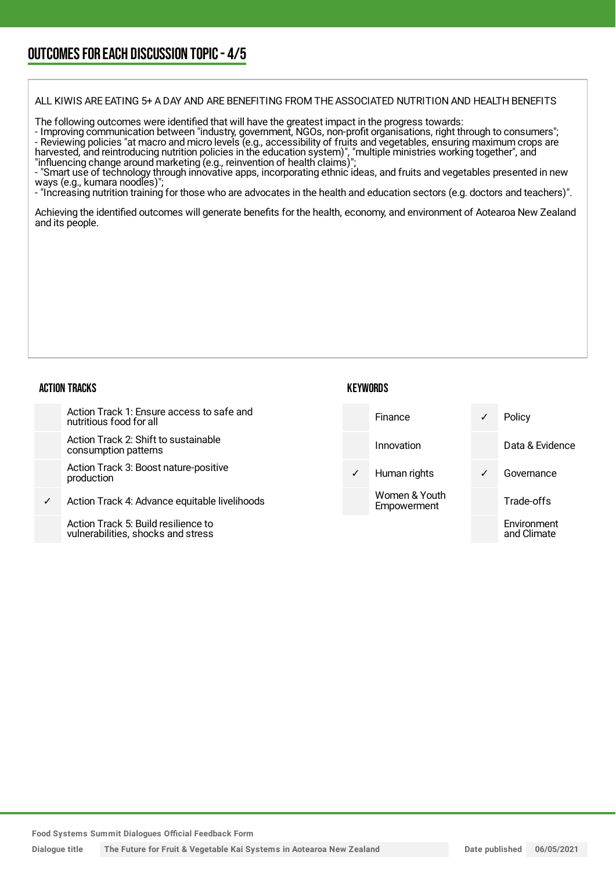### OUTCOMESFOR EACH DISCUSSION TOPIC- 4/5

ALL KIWIS ARE EATING 5+ A DAY AND ARE BENEFITING FROM THE ASSOCIATED NUTRITION AND HEALTH BENEFITS

The following outcomes were identified that will have the greatest impact in the progress towards:

- Improving communication between "industry, government, NGOs, non-profit organisations, right through to consumers"; - Reviewing policies "at macro and micro levels (e.g., accessibility of fruits and vegetables, ensuring maximum crops are harvested, and reintroducing nutrition policies in the education system)", "multiple ministries working together", and "influencing change around marketing (e.g., reinvention of health claims)";

- "Smart use of technology through innovative apps, incorporating ethnic ideas, and fruits and vegetables presented in new ways (e.g., kumara noodles)";

- "Increasing nutrition training for those who are advocates in the health and education sectors (e.g. doctors and teachers)".

Achieving the identified outcomes will generate benefits for the health, economy, and environment of Aotearoa New Zealand and its people.

#### ACTION TRACKS

|              | Action Track 1: Ensure access to safe and<br>nutritious food for all      |              | Finance                      | $\checkmark$ | Policy                     |
|--------------|---------------------------------------------------------------------------|--------------|------------------------------|--------------|----------------------------|
|              | Action Track 2: Shift to sustainable<br>consumption patterns              |              | Innovation                   |              | Data & Evidence            |
|              | Action Track 3: Boost nature-positive<br>production                       | $\checkmark$ | Human rights                 | $\checkmark$ | Governance                 |
| $\checkmark$ | Action Track 4: Advance equitable livelihoods                             |              | Women & Youth<br>Empowerment |              | Trade-offs                 |
|              | Action Track 5: Build resilience to<br>vulnerabilities, shocks and stress |              |                              |              | Environment<br>and Climate |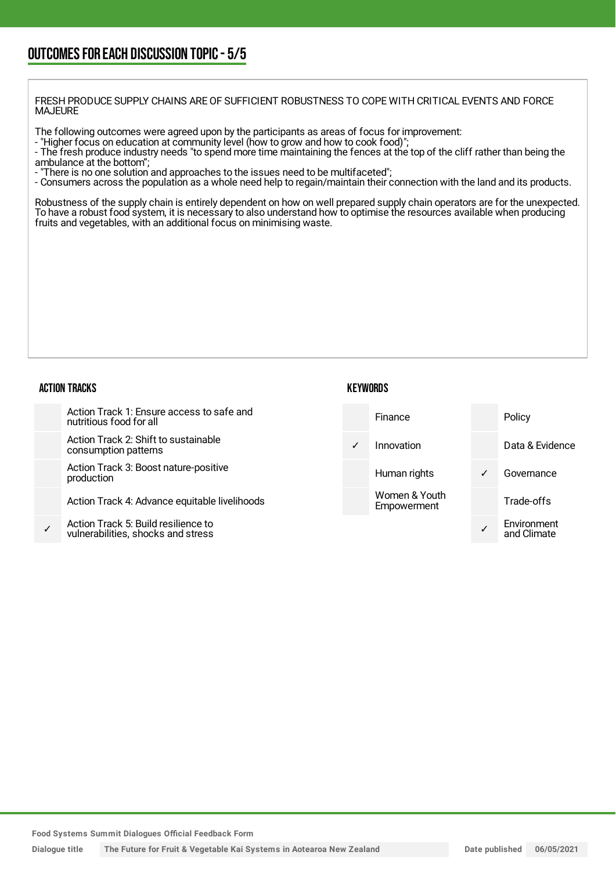FRESH PRODUCE SUPPLY CHAINS ARE OF SUFFICIENT ROBUSTNESS TO COPE WITH CRITICAL EVENTS AND FORCE MAJEURE

The following outcomes were agreed upon by the participants as areas of focus for improvement:

- "Higher focus on education at community level (how to grow and how to cook food)";

- The fresh produce industry needs "to spend more time maintaining the fences at the top of the cliff rather than being the ambulance at the bottom";

- "There is no one solution and approaches to the issues need to be multifaceted";

- Consumers across the population as a whole need help to regain/maintain their connection with the land and its products.

Robustness of the supply chain is entirely dependent on how on well prepared supply chain operators are for the unexpected. To have a robust food system, it is necessary to also understand how to optimise the resources available when producing fruits and vegetables, with an additional focus on minimising waste.

#### ACTION TRACKS

#### **KEYWORDS**

|              | Action Track 1: Ensure access to safe and<br>nutritious food for all      |              | Finance                      |   | Policy                     |
|--------------|---------------------------------------------------------------------------|--------------|------------------------------|---|----------------------------|
|              | Action Track 2: Shift to sustainable<br>consumption patterns              | $\checkmark$ | Innovation                   |   | Data & Evidence            |
|              | Action Track 3: Boost nature-positive<br>production                       |              | Human rights                 | ✓ | Governance                 |
|              | Action Track 4: Advance equitable livelihoods                             |              | Women & Youth<br>Empowerment |   | Trade-offs                 |
| $\checkmark$ | Action Track 5: Build resilience to<br>vulnerabilities, shocks and stress |              |                              |   | Environment<br>and Climate |

**Food Systems Summit Dialogues Official Feedback Form**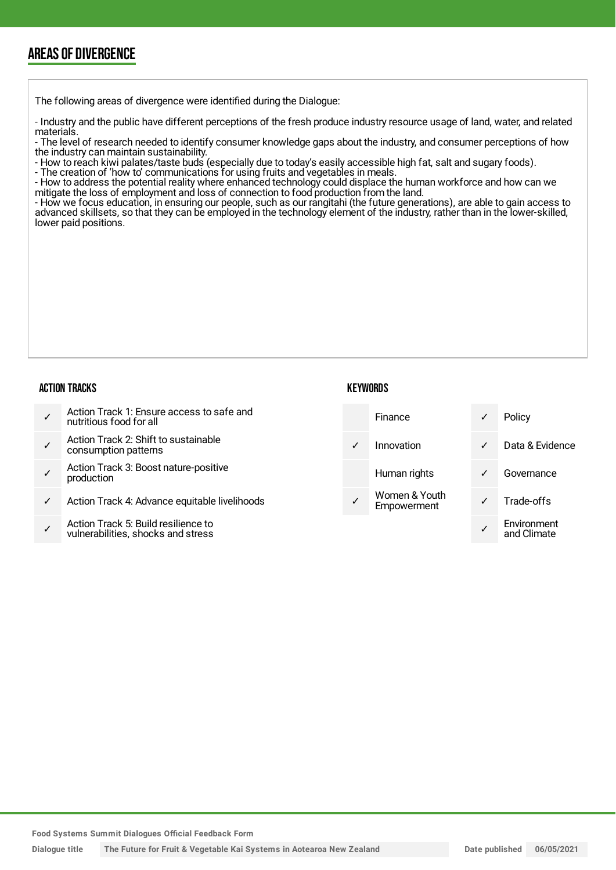## AREAS OF DIVERGENCE

The following areas of divergence were identified during the Dialogue:

- Industry and the public have different perceptions of the fresh produce industry resource usage of land, water, and related materials.

- The level of research needed to identify consumer knowledge gaps about the industry, and consumer perceptions of how the industry can maintain sustainability.

- How to reach kiwi palates/taste buds (especially due to today's easily accessible high fat, salt and sugary foods).

- The creation of 'how to' communications for using fruits and vegetables in meals.

- How to address the potential reality where enhanced technology could displace the human workforce and how can we mitigate the loss of employment and loss of connection to food production from the land.

- How we focus education, in ensuring our people, such as our rangitahi (the future generations), are able to gain access to advanced skillsets, so that they can be employed in the technology element of the industry, rather than in the lower-skilled, lower paid positions.

#### ACTION TRACKS

| KEYWORDS |  |
|----------|--|
|----------|--|

| Action Track 1: Ensure access to safe and<br>nutritious food for all | <b>Finance</b>               |              | Policy          |
|----------------------------------------------------------------------|------------------------------|--------------|-----------------|
| Action Track 2: Shift to sustainable<br>consumption patterns         | Innovation                   | $\checkmark$ | Data & Evidence |
| Action Track 3: Boost nature-positive<br>production                  | Human rights                 | $\checkmark$ | Governance      |
| Action Track 4: Advance equitable livelihoods                        | Women & Youth<br>Empowerment |              | Trade-offs      |

✓ Action Track 5: Build resilience to vulnerabilities, shocks and stress

**Food Systems Summit Dialogues Official Feedback Form**

Dialogue title The Future for Fruit & Vegetable Kai Systems in Aotearoa New Zealand Date Date published 06/05/2021

✓

Environment and Climate